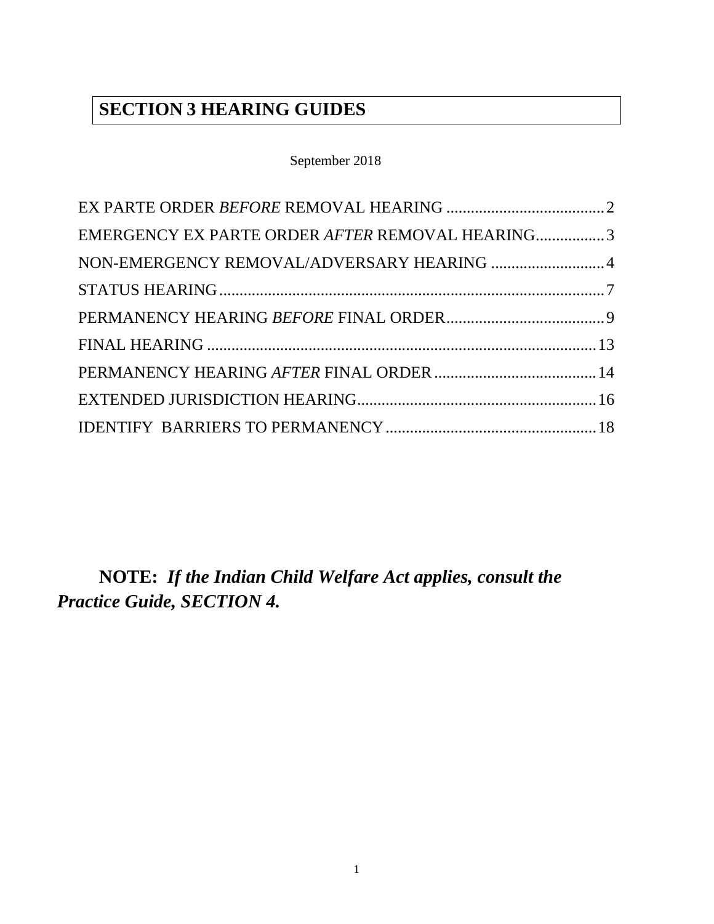## **SECTION 3 HEARING GUIDES**

### September 2018

| EMERGENCY EX PARTE ORDER AFTER REMOVAL HEARING3 |  |
|-------------------------------------------------|--|
| NON-EMERGENCY REMOVAL/ADVERSARY HEARING  4      |  |
|                                                 |  |
|                                                 |  |
|                                                 |  |
|                                                 |  |
|                                                 |  |
|                                                 |  |
|                                                 |  |

 **NOTE:** *If the Indian Child Welfare Act applies, consult the Practice Guide, SECTION 4.*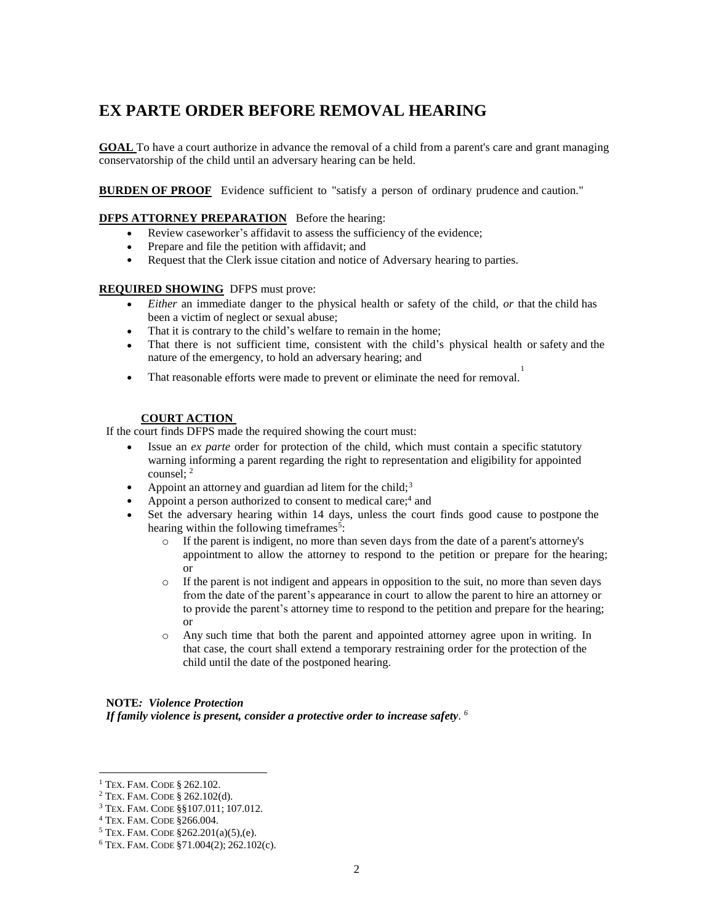## <span id="page-1-0"></span>**EX PARTE ORDER BEFORE REMOVAL HEARING**

 **GOAL** To have a court authorize in advance the removal of a child from a parent's care and grant managing conservatorship of the child until an adversary hearing can be held.

**BURDEN OF PROOF** Evidence sufficient to "satisfy a person of ordinary prudence and caution."

#### **DFPS ATTORNEY PREPARATION** Before the hearing:

- Review caseworker's affidavit to assess the sufficiency of the evidence;
- Prepare and file the petition with affidavit; and
- Request that the Clerk issue citation and notice of Adversary hearing to parties.

#### **REQUIRED SHOWING** DFPS must prove:

- *Either* an immediate danger to the physical health or safety of the child, *or* that the child has been a victim of neglect or sexual abuse;
- That it is contrary to the child's welfare to remain in the home;
- That there is not sufficient time, consistent with the child's physical health or safety and the nature of the emergency, to hold an adversary hearing; and 1
- That reasonable efforts were made to prevent or eliminate the need for removal.

#### **COURT ACTION**

If the court finds DFPS made the required showing the court must:

- Issue an *ex parte* order for protection of the child, which must contain a specific statutory warning informing a parent regarding the right to representation and eligibility for appointed counsel: <sup>2</sup>
- Appoint an attorney and guardian ad litem for the child;<sup>3</sup>
- Appoint a person authorized to consent to medical care;<sup>4</sup> and
- Set the adversary hearing within 14 days, unless the court finds good cause to postpone the hearing within the following timeframes<sup>5</sup>:
	- o If the parent is indigent, no more than seven days from the date of a parent's attorney's appointment to allow the attorney to respond to the petition or prepare for the hearing; or
	- o If the parent is not indigent and appears in opposition to the suit, no more than seven days from the date of the parent's appearance in court to allow the parent to hire an attorney or to provide the parent's attorney time to respond to the petition and prepare for the hearing; or
	- o Any such time that both the parent and appointed attorney agree upon in writing. In that case, the court shall extend a temporary restraining order for the protection of the child until the date of the postponed hearing.

#### **NOTE***: Violence Protection*

 *If family violence is present, consider a protective order to increase safety. <sup>6</sup>*

 1 TEX. FAM. CODE § 262.102.

 $2$  Tex. Fam. CODE  $\S 262.102(d)$ .

 3 TEX. FAM. CODE §§107.011; 107.012.

<sup>&</sup>lt;sup>4</sup> TEX. FAM. CODE §266.004.

<sup>&</sup>lt;sup>4</sup> Tex. Fam. Code §266.004.<br><sup>5</sup> Tex. Fam. Code §262.201(a)(5),(e).

 6 TEX. FAM. CODE §71.004(2); 262.102(c).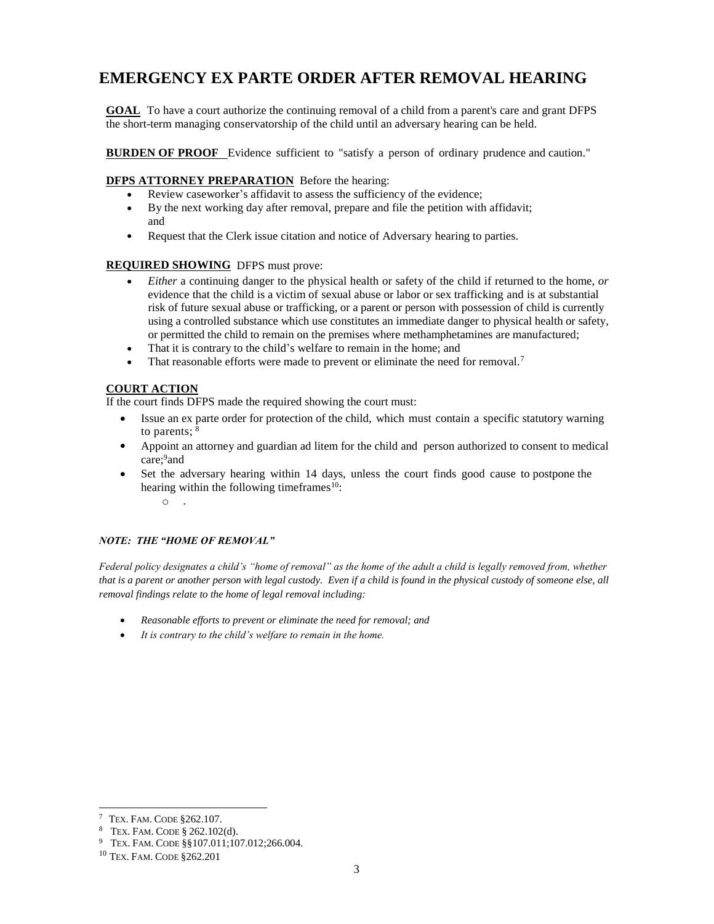# <span id="page-2-0"></span>**EMERGENCY EX PARTE ORDER AFTER REMOVAL HEARING**<br> **GOAL** To have a court authorize the continuing removal of a child from a parent's care and grant DFPS

**GOAL** To have a court authorize the continuing removal of a child from a parent's care and grant DFPS the short-term managing conservatorship of the child until an adversary hearing can be held.

**BURDEN OF PROOF** Evidence sufficient to "satisfy a person of ordinary prudence and caution."

#### **DFPS ATTORNEY PREPARATION** Before the hearing:

- Review caseworker's affidavit to assess the sufficiency of the evidence;
- By the next working day after removal, prepare and file the petition with affidavit; and
- Request that the Clerk issue citation and notice of Adversary hearing to parties.

#### **REQUIRED SHOWING** DFPS must prove:

- *Either* a continuing danger to the physical health or safety of the child if returned to the home, *or*  evidence that the child is a victim of sexual abuse or labor or sex trafficking and is at substantial risk of future sexual abuse or trafficking, or a parent or person with possession of child is currently using a controlled substance which use constitutes an immediate danger to physical health or safety, or permitted the child to remain on the premises where methamphetamines are manufactured;
- That it is contrary to the child's welfare to remain in the home; and
- That reasonable efforts were made to prevent or eliminate the need for removal.<sup>7</sup>

#### **COURT ACTION**

If the court finds DFPS made the required showing the court must:

- Issue an ex parte order for protection of the child, which must contain a specific statutory warning to parents;  $8$
- Appoint an attorney and guardian ad litem for the child and person authorized to consent to medical care;<sup>9</sup>and
- Set the adversary hearing within 14 days, unless the court finds good cause to postpone the hearing within the following time frames<sup>10</sup>:

 $\circ$  .

#### *NOTE: THE "HOME OF REMOVAL"*

 *Federal policy designates a child's "home of removal" as the home of the adult a child is legally removed from, whether that is a parent or another person with legal custody. Even if a child is found in the physical custody of someone else, all removal findings relate to the home of legal removal including:* 

- *Reasonable efforts to prevent or eliminate the need for removal; and*
- <span id="page-2-1"></span> *It is contrary to the child's welfare to remain in the home.*

 7 TEX. FAM. CODE §262.107.

<sup>&</sup>lt;sup>8</sup> TEX. FAM. CODE  $\S 262.102(d)$ .

 $9$  Tex. FAM. CODE  $\S$ §107.011;107.012;266.004.

 10 TEX. FAM. CODE §262.201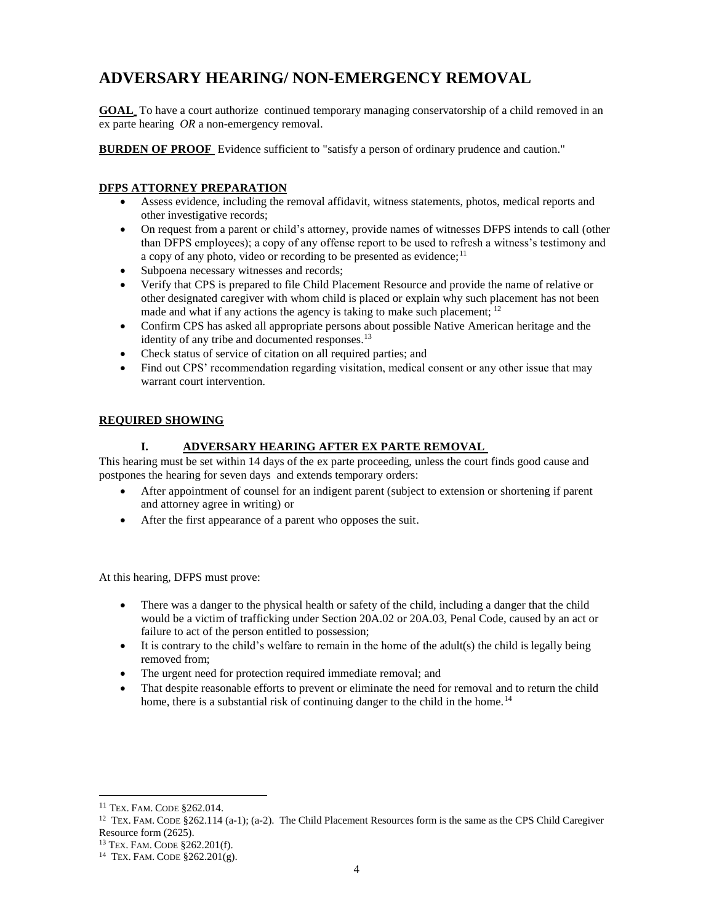## **ADVERSARY HEARING/ NON-EMERGENCY REMOVAL**

**GOAL** To have a court authorize continued temporary managing conservatorship of a child removed in an ex parte hearing *OR* a non-emergency removal.

**BURDEN OF PROOF** Evidence sufficient to "satisfy a person of ordinary prudence and caution."

#### **DFPS ATTORNEY PREPARATION**

- Assess evidence, including the removal affidavit, witness statements, photos, medical reports and other investigative records;
- On request from a parent or child's attorney, provide names of witnesses DFPS intends to call (other than DFPS employees); a copy of any offense report to be used to refresh a witness's testimony and a copy of any photo, video or recording to be presented as evidence;<sup>11</sup>
- Subpoena necessary witnesses and records;
- Verify that CPS is prepared to file Child Placement Resource and provide the name of relative or other designated caregiver with whom child is placed or explain why such placement has not been made and what if any actions the agency is taking to make such placement; <sup>12</sup>
- Confirm CPS has asked all appropriate persons about possible Native American heritage and the identity of any tribe and documented responses.<sup>13</sup>
- Check status of service of citation on all required parties; and
- Find out CPS' recommendation regarding visitation, medical consent or any other issue that may warrant court intervention.

#### **REQUIRED SHOWING**

#### **I. ADVERSARY HEARING AFTER EX PARTE REMOVAL**

 This hearing must be set within 14 days of the ex parte proceeding, unless the court finds good cause and postpones the hearing for seven days and extends temporary orders:

- After appointment of counsel for an indigent parent (subject to extension or shortening if parent and attorney agree in writing) or
- After the first appearance of a parent who opposes the suit.

At this hearing, DFPS must prove:

- There was a danger to the physical health or safety of the child, including a danger that the child would be a victim of trafficking under Section 20A.02 or 20A.03, Penal Code, caused by an act or failure to act of the person entitled to possession;
- $\bullet$  It is contrary to the child's welfare to remain in the home of the adult(s) the child is legally being removed from;
- The urgent need for protection required immediate removal; and
- That despite reasonable efforts to prevent or eliminate the need for removal and to return the child home, there is a substantial risk of continuing danger to the child in the home.<sup>14</sup>

 11 TEX. FAM. CODE §262.014.

<sup>&</sup>lt;sup>12</sup> TEX. FAM. CODE §262.114 (a-1); (a-2). The Child Placement Resources form is the same as the CPS Child Caregiver Resource form (2625).

<sup>&</sup>lt;sup>13</sup> TEX. FAM. CODE  $$262.201(f).$ <sup>14</sup> TEX. FAM. CODE  $$262.201(g).$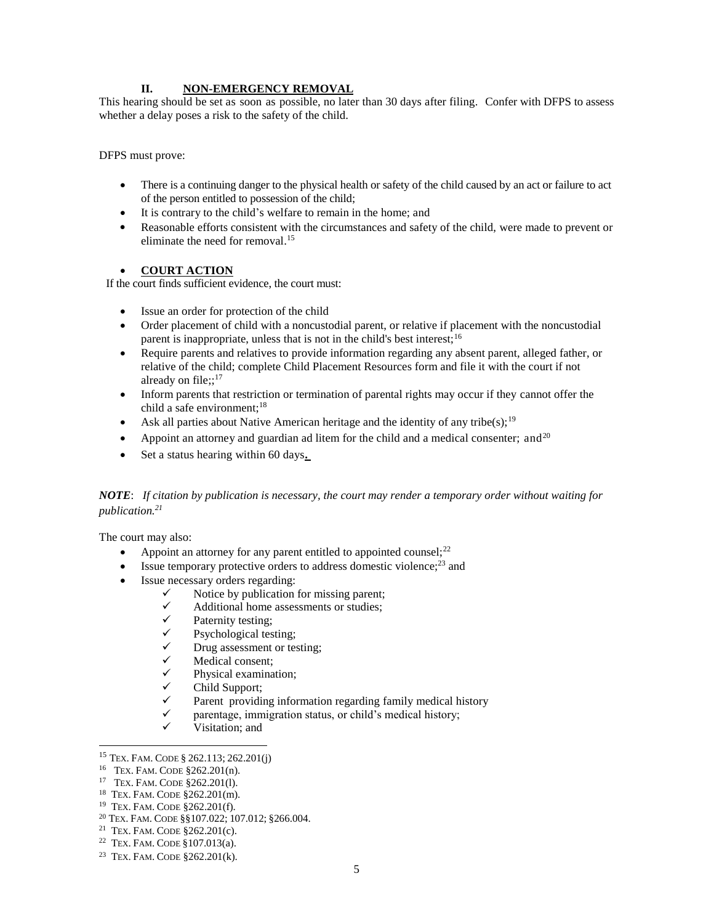#### **II.** NON-EMERGENCY REMOVAL

 This hearing should be set as soon as possible, no later than 30 days after filing. Confer with DFPS to assess whether a delay poses a risk to the safety of the child.

DFPS must prove:

- There is a continuing danger to the physical health or safety of the child caused by an act or failure to act of the person entitled to possession of the child;
- It is contrary to the child's welfare to remain in the home; and
- Reasonable efforts consistent with the circumstances and safety of the child, were made to prevent or eliminate the need for removal.<sup>15</sup>

#### **COURT ACTION**

If the court finds sufficient evidence, the court must:

- Issue an order for protection of the child
- Order placement of child with a noncustodial parent, or relative if placement with the noncustodial parent is inappropriate, unless that is not in the child's best interest;<sup>16</sup>
- Require parents and relatives to provide information regarding any absent parent, alleged father, or relative of the child; complete Child Placement Resources form and file it with the court if not already on file;;<sup>17</sup>
- Inform parents that restriction or termination of parental rights may occur if they cannot offer the child a safe environment;<sup>18</sup>
- Ask all parties about Native American heritage and the identity of any tribe(s);<sup>19</sup>
- Appoint an attorney and guardian ad litem for the child and a medical consenter; and  $20$
- Set a status hearing within 60 days**.**

#### *NOTE*: *If citation by publication is necessary, the court may render a temporary order without waiting for publication.21*

The court may also:

- Appoint an attorney for any parent entitled to appointed counsel; $^{22}$
- $\bullet$  Issue temporary protective orders to address domestic violence;<sup>23</sup> and
- Issue necessary orders regarding:
	- $\checkmark$  Notice by publication for missing parent;
	- $\checkmark$  Additional home assessments or studies;
	- $\checkmark$  Paternity testing;
	- $\checkmark$  Psychological testing;
	- $\checkmark$  Drug assessment or testing;
	- $\checkmark$  Medical consent;<br> $\checkmark$  Physical examina
	- Physical examination;
	- Child Support;
	- $\checkmark$  Parent providing information regarding family medical history
	- $\checkmark$  parentage, immigration status, or child's medical history;
	- Visitation; and

<sup>&</sup>lt;sup>15</sup> TEX. FAM. CODE § 262.113; 262.201(j)

<sup>&</sup>lt;sup>16</sup> TEX. FAM. CODE  $$262.201(n)$ .

<sup>&</sup>lt;sup>17</sup> TEX. FAM. CODE §262.201(1).

<sup>&</sup>lt;sup>18</sup> TEX. FAM. CODE §262.201(m).

<sup>&</sup>lt;sup>19</sup> TEX. FAM. CODE §262.201(f).

<sup>&</sup>lt;sup>15</sup> TEX. FAM. CODE § 262.113; 262.201(j)<br><sup>16</sup> TEX. FAM. CODE § 262.201(n).<br><sup>17</sup> TEX. FAM. CODE § 262.201(l).<br><sup>18</sup> TEX. FAM. CODE § 262.201(m).<br><sup>19</sup> TEX. FAM. CODE § 262.201(f).<br><sup>20</sup> TEX. FAM. CODE § 262.201(c).<br><sup>21</sup> TEX.

<sup>&</sup>lt;sup>21</sup> TEX. FAM. CODE  $$262.201(c)$ .

<sup>&</sup>lt;sup>22</sup> TEX. FAM. CODE  $$107.013(a)$ .

<sup>&</sup>lt;sup>23</sup> TEX. FAM. CODE  $8262.201(k)$ .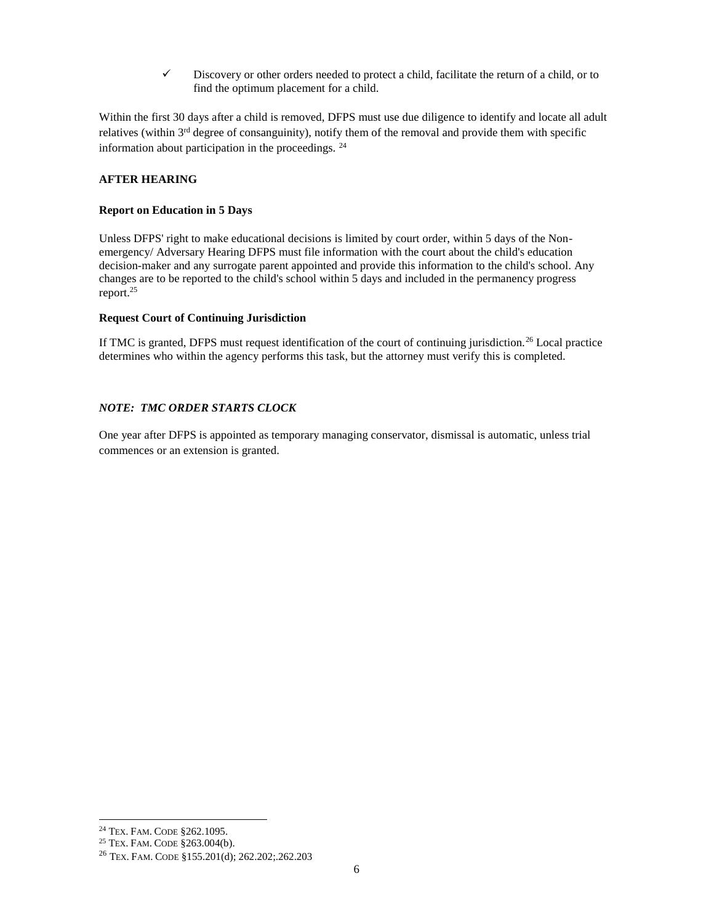$\checkmark$  Discovery or other orders needed to protect a child, facilitate the return of a child, or to find the optimum placement for a child.

 Within the first 30 days after a child is removed, DFPS must use due diligence to identify and locate all adult relatives (within 3<sup>rd</sup> degree of consanguinity), notify them of the removal and provide them with specific information about participation in the proceedings.  $24$ 

#### **AFTER HEARING**

#### **Report on Education in 5 Days**

 Unless DFPS' right to make educational decisions is limited by court order, within 5 days of the Non- emergency/ Adversary Hearing DFPS must file information with the court about the child's education decision-maker and any surrogate parent appointed and provide this information to the child's school. Any changes are to be reported to the child's school within 5 days and included in the permanency progress report.25

#### **Request Court of Continuing Jurisdiction**

If TMC is granted, DFPS must request identification of the court of continuing jurisdiction.<sup>26</sup> Local practice determines who within the agency performs this task, but the attorney must verify this is completed.

#### *NOTE: TMC ORDER STARTS CLOCK*

 One year after DFPS is appointed as temporary managing conservator, dismissal is automatic, unless trial commences or an extension is granted.

 24 TEX. FAM. CODE §262.1095.

<sup>25</sup> TEX. FAM. CODE §263.004(b).

<sup>26</sup> TEX. FAM. CODE §155.201(d); 262.202;.262.203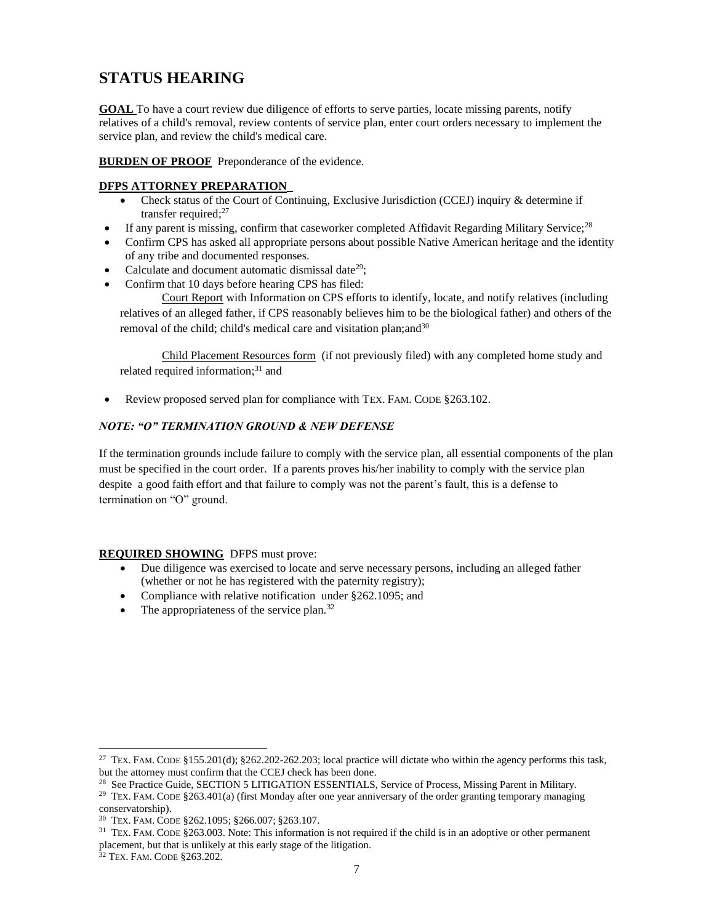## <span id="page-6-0"></span>**STATUS HEARING**

**GOAL** To have a court review due diligence of efforts to serve parties, locate missing parents, notify relatives of a child's removal, review contents of service plan, enter court orders necessary to implement the service plan, and review the child's medical care.

**BURDEN OF PROOF** Preponderance of the evidence.

#### **DFPS ATTORNEY PREPARATION**

- Check status of the Court of Continuing, Exclusive Jurisdiction (CCEJ) inquiry & determine if transfer required;<sup>27</sup>
- **If any parent is missing, confirm that caseworker completed Affidavit Regarding Military Service;**<sup>28</sup>
- Confirm CPS has asked all appropriate persons about possible Native American heritage and the identity of any tribe and documented responses.
- Calculate and document automatic dismissal date<sup>29</sup>;
- Confirm that 10 days before hearing CPS has filed:

 Court Report with Information on CPS efforts to identify, locate, and notify relatives (including relatives of an alleged father, if CPS reasonably believes him to be the biological father) and others of the removal of the child; child's medical care and visitation plan; and<sup>30</sup>

Child Placement Resources form (if not previously filed) with any completed home study and related required information;<sup>31</sup> and

• Review proposed served plan for compliance with TEX. FAM. CODE §263.102.

#### *NOTE: "O" TERMINATION GROUND & NEW DEFENSE*

 If the termination grounds include failure to comply with the service plan, all essential components of the plan must be specified in the court order. If a parents proves his/her inability to comply with the service plan despite a good faith effort and that failure to comply was not the parent's fault, this is a defense to termination on "O" ground.

#### **REQUIRED SHOWING** DFPS must prove:

- Due diligence was exercised to locate and serve necessary persons, including an alleged father (whether or not he has registered with the paternity registry);
- Compliance with relative notification under §262.1095; and
- $\bullet$  The appropriateness of the service plan.<sup>32</sup>

<sup>&</sup>lt;sup>27</sup> TEX. FAM. CODE §155.201(d); §262.202-262.203; local practice will dictate who within the agency performs this task, but the attorney must confirm that the CCEJ check has been done.

<sup>&</sup>lt;sup>28</sup> See Practice Guide, SECTION 5 LITIGATION ESSENTIALS, Service of Process, Missing Parent in Military.

<sup>&</sup>lt;sup>29</sup> TEX. FAM. CODE §263.401(a) (first Monday after one year anniversary of the order granting temporary managing conservatorship).

 30 TEX. FAM. CODE §262.1095; §266.007; §263.107.

 $31$  TEX. FAM. CODE §263.003. Note: This information is not required if the child is in an adoptive or other permanent placement, but that is unlikely at this early stage of the litigation.

 32 TEX. FAM. CODE §263.202.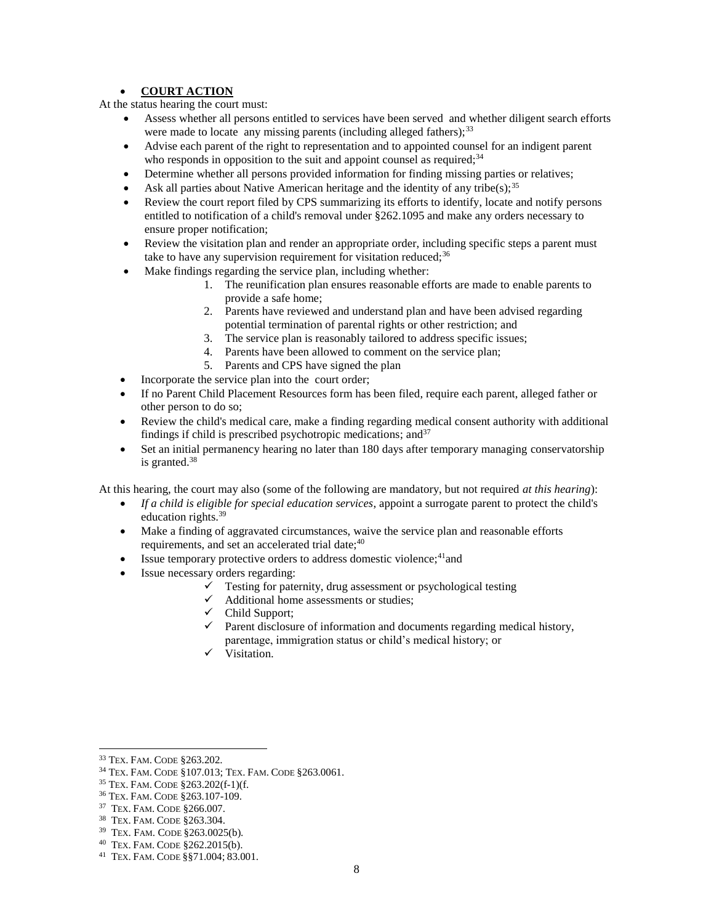#### **COURT ACTION**

At the status hearing the court must:

- Assess whether all persons entitled to services have been served and whether diligent search efforts were made to locate any missing parents (including alleged fathers); $^{33}$
- Advise each parent of the right to representation and to appointed counsel for an indigent parent who responds in opposition to the suit and appoint counsel as required; $34$
- Determine whether all persons provided information for finding missing parties or relatives;
- Ask all parties about Native American heritage and the identity of any tribe(s);<sup>35</sup>
- Review the court report filed by CPS summarizing its efforts to identify, locate and notify persons entitled to notification of a child's removal under §262.1095 and make any orders necessary to ensure proper notification;
- Review the visitation plan and render an appropriate order, including specific steps a parent must take to have any supervision requirement for visitation reduced;<sup>36</sup>
- Make findings regarding the service plan, including whether:
	- 1. The reunification plan ensures reasonable efforts are made to enable parents to provide a safe home;
	- 2. Parents have reviewed and understand plan and have been advised regarding potential termination of parental rights or other restriction; and
	- 3. The service plan is reasonably tailored to address specific issues;
	- 4. Parents have been allowed to comment on the service plan;
	- 5. Parents and CPS have signed the plan
- Incorporate the service plan into the court order;
- If no Parent Child Placement Resources form has been filed, require each parent, alleged father or other person to do so;
- Review the child's medical care, make a finding regarding medical consent authority with additional findings if child is prescribed psychotropic medications; and<sup>37</sup>
- Set an initial permanency hearing no later than 180 days after temporary managing conservatorship is granted.38

At this hearing, the court may also (some of the following are mandatory, but not required *at this hearing*):

- If a child is eligible for special education services, appoint a surrogate parent to protect the child's education rights.39
- Make a finding of aggravated circumstances, waive the service plan and reasonable efforts requirements, and set an accelerated trial date;<sup>40</sup>
- $\bullet$  Issue temporary protective orders to address domestic violence;<sup>41</sup>and
- Issue necessary orders regarding:
	- $\checkmark$  Testing for paternity, drug assessment or psychological testing
	- $\checkmark$  Additional home assessments or studies;
	- Child Support;
	- $\checkmark$  Parent disclosure of information and documents regarding medical history, parentage, immigration status or child's medical history; or
	- $\checkmark$  Visitation.

35 TEX. FAM. CODE §263.202(f-1)(f.

l 33 TEX. FAM. CODE §263.202.

 34 TEX. FAM. CODE §107.013; TEX. FAM. CODE §263.0061.

 36 TEX. FAM. CODE §263.107-109.

 37 TEX. FAM. CODE §266.007.

 38 TEX. FAM. CODE §263.304.

 39 TEX. FAM. CODE §263.0025(b).

 40 TEX. FAM. CODE §262.2015(b).

 41 TEX. FAM. CODE §§71.004; 83.001.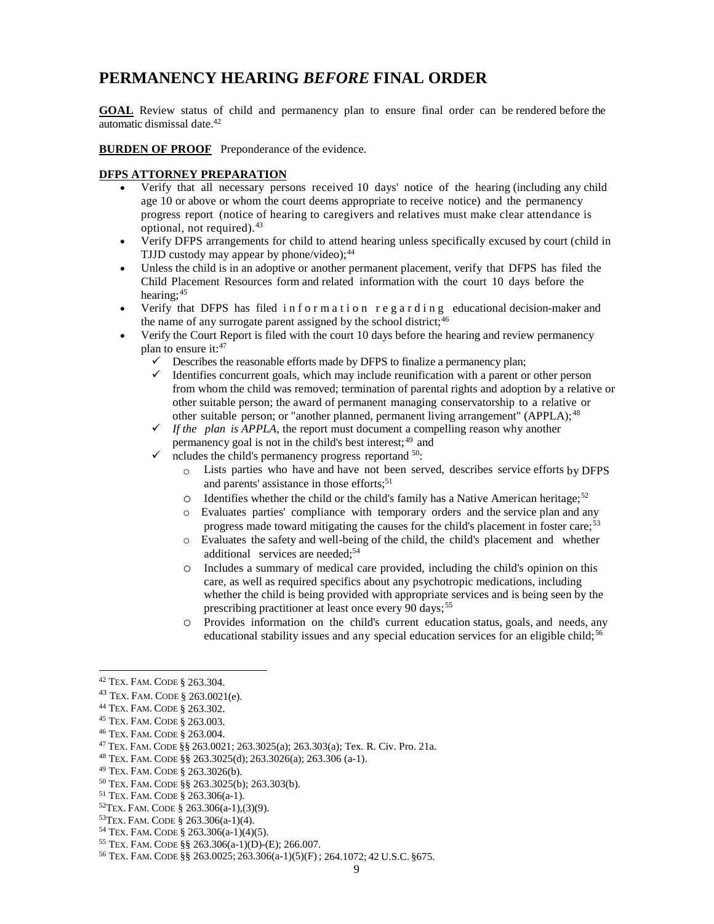## <span id="page-8-0"></span>**PERMANENCY HEARING BEFORE FINAL ORDER**

**PERMANENCY HEARING** *BEFORE* **FINAL ORDER**<br>COAL Review status of child and permanency plan to ensure final order can be rendered before the automatic dismissal date.42

**BURDEN OF PROOF** Preponderance of the evidence.

#### **DFPS ATTORNEY PREPARATION**

- Verify that all necessary persons received 10 days' notice of the hearing (including any child age 10 or above or whom the court deems appropriate to receive notice) and the permanency progress report (notice of hearing to caregivers and relatives must make clear attendance is optional, not required). $43$
- Verify DFPS arrangements for child to attend hearing unless specifically excused by court (child in TJJD custody may appear by phone/video);<sup>44</sup>
- Unless the child is in an adoptive or another permanent placement, verify that DFPS has filed the Child Placement Resources form and related information with the court 10 days before the hearing;<sup>45</sup>
- Verify that DFPS has filed information regarding educational decision-maker and the name of any surrogate parent assigned by the school district;<sup>46</sup>
- Verify the Court Report is filed with the court 10 days before the hearing and review permanency plan to ensure it:<sup>47</sup>
	- $\checkmark$  Describes the reasonable efforts made by DFPS to finalize a permanency plan;
	- $\checkmark$  Identifies concurrent goals, which may include reunification with a parent or other person from whom the child was removed; termination of parental rights and adoption by a relative or other suitable person; the award of permanent managing conservatorship to a relative or other suitable person; or "another planned, permanent living arrangement" (APPLA);<sup>48</sup>
	- $\checkmark$  If the plan is APPLA, the report must document a compelling reason why another permanency goal is not in the child's best interest; 49 and
	- $\checkmark$  ncludes the child's permanency progress reportand  $^{50}$ .
		- $\circ$  Lists parties who have and have not been served, describes service efforts by DFPS and parents' assistance in those efforts;<sup>51</sup>
		- $\circ$  Identifies whether the child or the child's family has a Native American heritage;<sup>52</sup>
		- o Evaluates parties' compliance with temporary orders and the service plan and any progress made toward mitigating the causes for the child's placement in foster care;<sup>53</sup>
		- o Evaluates the safety and well-being of the child, the child's placement and whether additional services are needed;<sup>54</sup>
		- o Includes a summary of medical care provided, including the child's opinion on this care, as well as required specifics about any psychotropic medications, including whether the child is being provided with appropriate services and is being seen by the prescribing practitioner at least once every 90 days;<sup>55</sup>
		- o Provides information on the child's current education status, goals, and needs, any educational stability issues and any special education services for an eligible child;<sup>56</sup>

l

 $53$ TEX. FAM. CODE § 263.306(a-1)(4).

<sup>&</sup>lt;sup>43</sup> TEX. FAM. CODE § 263.0021(e).

<sup>&</sup>lt;sup>44</sup> TEX. FAM. CODE § 263.302.

<sup>&</sup>lt;sup>45</sup> TEX. FAM. CODE § 263.003.

<sup>&</sup>lt;sup>46</sup> TEX. FAM. CODE § 263.004.

<sup>&</sup>lt;sup>47</sup> TEX. FAM. CODE § § 263.0021; 263.3025(a); 263.303(a); Tex. R. Civ. Pro. 21a. <sup>42</sup> TEX. FAM. CODE § 263.304.<br>
<sup>43</sup> TEX. FAM. CODE § 263.0021(e).<br>
<sup>44</sup> TEX. FAM. CODE § 263.302.<br>
<sup>45</sup> TEX. FAM. CODE § 263.003.<br>
<sup>46</sup> TEX. FAM. CODE § 263.004.<br>
<sup>47</sup> TEX. FAM. CODE § 263.0021; 263.3025(a); 263.303(a);

<sup>&</sup>lt;sup>48</sup> TEX. FAM. CODE §§ 263.3025(d); 263.3026(a); 263.306 (a-1).

<sup>&</sup>lt;sup>49</sup> TEX. FAM. CODE § 263.3026(b).

<sup>&</sup>lt;sup>50</sup> TEX. FAM. CODE §§ 263.3025(b); 263.303(b).

<sup>&</sup>lt;sup>51</sup> TEX. FAM. CODE § 263.306(a-1).

<sup>&</sup>lt;sup>52</sup>TEX. FAM. CODE § 263.306(a-1),(3)(9).

<sup>&</sup>lt;sup>54</sup> TEX. FAM. CODE § 263.306(a-1)(4)(5).

<sup>&</sup>lt;sup>55</sup> TEX, FAM, CODE § § 263.306(a-1)(D)-(E); 266.007.

<sup>&</sup>lt;sup>56</sup> TEX. FAM. CODE § § 263.0025; 263.306(a-1)(5)(F); 264.1072; 42 U.S.C. § 675.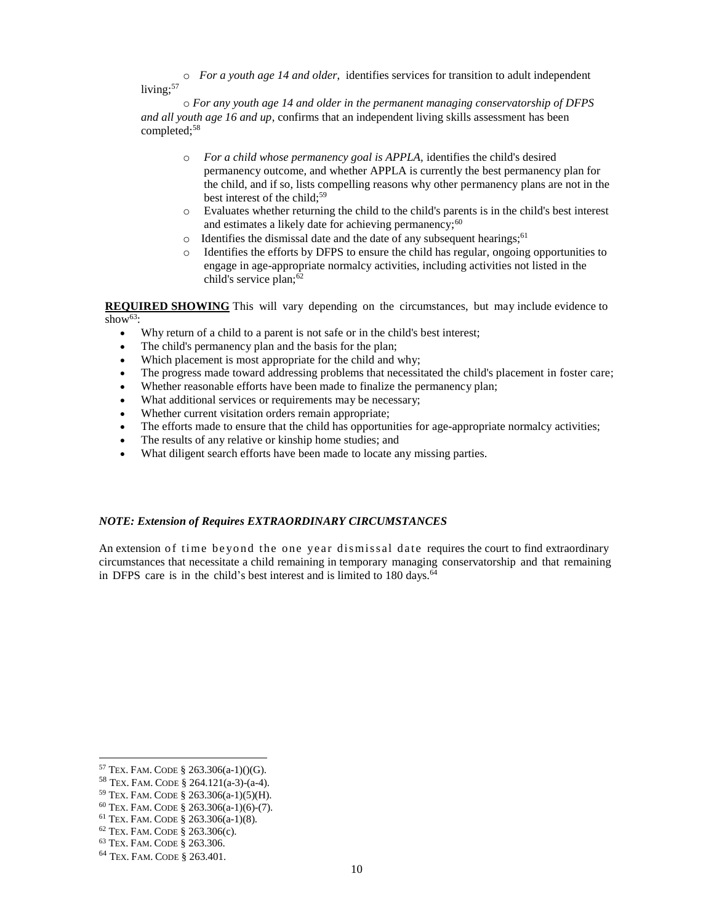o *For a youth age 14 and older*, identifies services for transition to adult independent living:57

 o *For any youth age 14 and older in the permanent managing conservatorship of DFPS and all youth age 16 and up*, confirms that an independent living skills assessment has been completed;<sup>58</sup>

- o *For a child whose permanency goal is APPLA,* identifies the child's desired permanency outcome, and whether APPLA is currently the best permanency plan for the child, and if so, lists compelling reasons why other permanency plans are not in the best interest of the child;<sup>59</sup>
- o Evaluates whether returning the child to the child's parents is in the child's best interest and estimates a likely date for achieving permanency;<sup>60</sup>
- $\circ$  Identifies the dismissal date and the date of any subsequent hearings;<sup>61</sup>
- o Identifies the efforts by DFPS to ensure the child has regular, ongoing opportunities to engage in age-appropriate normalcy activities, including activities not listed in the child's service plan;<sup>62</sup>

 **REQUIRED SHOWING** This will vary depending on the circumstances, but may include evidence to show $63$ .

- Why return of a child to a parent is not safe or in the child's best interest;
- The child's permanency plan and the basis for the plan;
- Which placement is most appropriate for the child and why;
- The progress made toward addressing problems that necessitated the child's placement in foster care;
- Whether reasonable efforts have been made to finalize the permanency plan;
- What additional services or requirements may be necessary;
- Whether current visitation orders remain appropriate;
- The efforts made to ensure that the child has opportunities for age-appropriate normalcy activities;
- The results of any relative or kinship home studies; and
- What diligent search efforts have been made to locate any missing parties.

#### *NOTE: Extension of Requires EXTRAORDINARY CIRCUMSTANCES*

An extension of time beyond the one year dismissal date requires the court to find extraordinary circumstances that necessitate a child remaining in temporary managing conservatorship and that remaining in DFPS care is in the child's best interest and is limited to  $180 \text{ days}$ .<sup>64</sup>

<sup>&</sup>lt;sup>57</sup> TEX. FAM. CODE § 263.306(a-1)()(G).

<sup>&</sup>lt;sup>57</sup> TEX. FAM. CODE § 263.306(a-1)()(G).<br><sup>58</sup> TEX. FAM. CODE § 264.121(a-3)-(a-4).<br><sup>59</sup> TEX. FAM. CODE § 263.306(a-1)(5)(H).<br><sup>60</sup> TEX. FAM. CODE § 263.306(a-1)(6)-(7).<br><sup>61</sup> TEX. FAM. CODE § 263.306(a-1)(8).<br><sup>62</sup> TEX. FAM.

<sup>&</sup>lt;sup>59</sup> TEX. FAM. CODE § 263.306(a-1)(5)(H).

<sup>&</sup>lt;sup>60</sup> TEX. FAM. CODE § 263.306(a-1)(6)-(7).

<sup>&</sup>lt;sup>61</sup> TEX. FAM. CODE § 263.306(a-1)(8).  $62$  TEX. FAM. CODE § 263.306(c).

<sup>&</sup>lt;sup>63</sup> TEX. FAM. CODE § 263.306.

<sup>&</sup>lt;sup>64</sup> TEX. FAM. CODE § 263.401.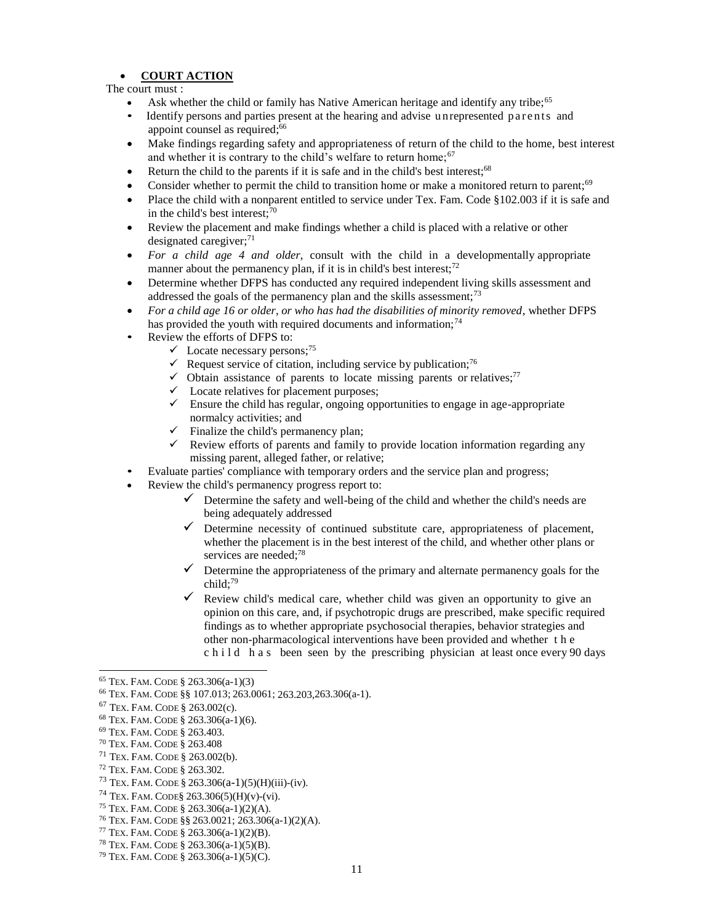#### **COURT ACTION**

The court must :

- Ask whether the child or family has Native American heritage and identify any tribe;<sup>65</sup>
- Identify persons and parties present at the hearing and advise unrepresented parents and appoint counsel as required:<sup>66</sup>
- Make findings regarding safety and appropriateness of return of the child to the home, best interest and whether it is contrary to the child's welfare to return home;  $67$
- Return the child to the parents if it is safe and in the child's best interest;<sup>68</sup>
- Consider whether to permit the child to transition home or make a monitored return to parent;<sup>69</sup>
- Place the child with a nonparent entitled to service under Tex. Fam. Code §102.003 if it is safe and in the child's best interest; $70$
- Review the placement and make findings whether a child is placed with a relative or other designated caregiver;<sup>71</sup>
- *For a child age 4 and older*, consult with the child in a developmentally appropriate manner about the permanency plan, if it is in child's best interest; $^{72}$
- Determine whether DFPS has conducted any required independent living skills assessment and addressed the goals of the permanency plan and the skills assessment;<sup>73</sup>
- *For a child age 16 or older, or who has had the disabilities of minority removed*, whether DFPS has provided the youth with required documents and information;<sup>74</sup>
- Review the efforts of DFPS to:
	- $\checkmark$  Locate necessary persons;<sup>75</sup>
	- Request service of citation, including service by publication;<sup>76</sup>
	- $\checkmark$  Obtain assistance of parents to locate missing parents or relatives;<sup>77</sup>
	- $\checkmark$  Locate relatives for placement purposes;
	- $\checkmark$  Ensure the child has regular, ongoing opportunities to engage in age-appropriate normalcy activities; and
	- $\checkmark$  Finalize the child's permanency plan;
	- $\checkmark$  Review efforts of parents and family to provide location information regarding any missing parent, alleged father, or relative;
- Evaluate parties' compliance with temporary orders and the service plan and progress;
- Review the child's permanency progress report to:
	- $\checkmark$  Determine the safety and well-being of the child and whether the child's needs are being adequately addressed
	- $\checkmark$  Determine necessity of continued substitute care, appropriateness of placement, whether the placement is in the best interest of the child, and whether other plans or services are needed;<sup>78</sup>
	- $\checkmark$  Determine the appropriateness of the primary and alternate permanency goals for the child:<sup>79</sup>
	- $\checkmark$  Review child's medical care, whether child was given an opportunity to give an opinion on this care, and, if psychotropic drugs are prescribed, make specific required findings as to whether appropriate psychosocial therapies, behavior strategies and other non-pharmacological interventions have been provided and whether t h e c h i l d h a s been seen by the prescribing physician at least once every 90 days

- <sup>71</sup> TEX. FAM. CODE § 263.002(b).
- <sup>72</sup> TEX. FAM. CODE § 263.302.
- <sup>73</sup> TEX. FAM. CODE § 263.306(a-1)(5)(H)(iii)-(iv).
- <sup>74</sup> TEX. FAM. CODE§ 263.306(5)(H)(v)-(vi).
- <sup>75</sup> TEX. FAM. CODE § 263.306(a-1)(2)(A).
- <sup>76</sup> TEX. FAM. CODE §§ 263.0021; 263.306(a-1)(2)(A).
- <sup>77</sup> TEX. FAM. CODE § 263.306(a-1)(2)(B).
- <sup>78</sup> TEX. FAM. CODE § 263.306(a-1)(5)(B).

<sup>&</sup>lt;sup>65</sup> TEX. FAM. CODE § 263.306(a-1)(3)

<sup>&</sup>lt;sup>66</sup> TEX. FAM. CODE §§ 107.013; 263.0061; 263.203,263.306(a-1). <sup>65</sup> TEX. FAM. CODE § 263.306(a-1)(3)<br>
<sup>66</sup> TEX. FAM. CODE §§ 107.013; 263.0061; 263.203,263.306(a-1).<br>
<sup>67</sup> TEX. FAM. CODE § 263.002(c).<br>
<sup>68</sup> TEX. FAM. CODE § 263.306(a-1)(6).<br>
<sup>69</sup> TEX. FAM. CODE § 263.306(a-1)(6).<br>
<sup>6</sup>

<sup>&</sup>lt;sup>67</sup> TEX. FAM. CODE § 263.002(c).

<sup>&</sup>lt;sup>68</sup> TEX. FAM. CODE § 263.306(a-1)(6).

<sup>69</sup> TEX. FAM. CODE § 263.403.

<sup>&</sup>lt;sup>70</sup> TEX. FAM. CODE § 263.408

<sup>&</sup>lt;sup>79</sup> TEX, FAM, CODE § 263.306(a-1)(5)(C).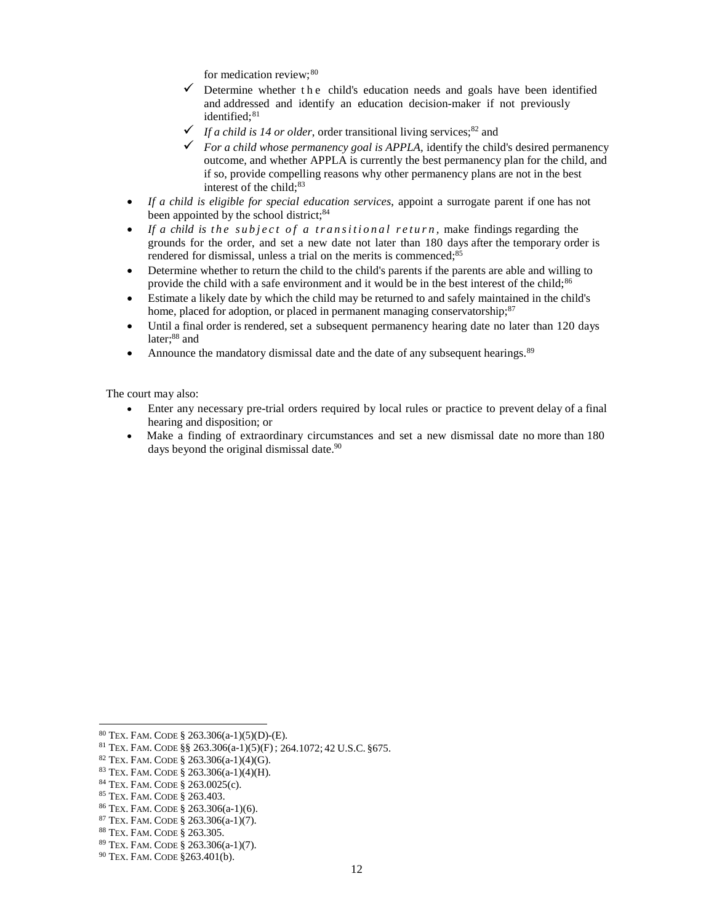for medication review; 80

- $\checkmark$  Determine whether the child's education needs and goals have been identified and addressed and identify an education decision-maker if not previously identified;<sup>81</sup>
- $\checkmark$  *If a child is 14 or older*, order transitional living services;<sup>82</sup> and
- $\checkmark$  For a child whose permanency goal is APPLA, identify the child's desired permanency outcome, and whether APPLA is currently the best permanency plan for the child, and if so, provide compelling reasons why other permanency plans are not in the best interest of the child;<sup>83</sup>
- If a child is eligible for special education services, appoint a surrogate parent if one has not been appointed by the school district;<sup>84</sup>
- If a child is the subject of a transitional return, make findings regarding the grounds for the order, and set a new date not later than 180 days after the temporary order is rendered for dismissal, unless a trial on the merits is commenced;<sup>85</sup>
- Determine whether to return the child to the child's parents if the parents are able and willing to provide the child with a safe environment and it would be in the best interest of the child;<sup>86</sup>
- Estimate a likely date by which the child may be returned to and safely maintained in the child's home, placed for adoption, or placed in permanent managing conservatorship;<sup>87</sup>
- Until a final order is rendered, set a subsequent permanency hearing date no later than 120 days later; 88 and
- Announce the mandatory dismissal date and the date of any subsequent hearings.<sup>89</sup>

The court may also:

- Enter any necessary pre-trial orders required by local rules or practice to prevent delay of a final hearing and disposition; or
- Make a finding of extraordinary circumstances and set a new dismissal date no more than 180 days beyond the original dismissal date.<sup>90</sup>

 80 TEX. FAM. CODE § 263.306(a-1)(5)(D)-(E).

<sup>81</sup> TEX. FAM. CODE §§ 263.306(a-1)(5)(F) ; 264.1072; 42 U.S.C. §675.

 82 TEX. FAM. CODE § 263.306(a-1)(4)(G).

 83 TEX. FAM. CODE § 263.306(a-1)(4)(H).

 84 TEX. FAM. CODE § 263.0025(c).

 85 TEX. FAM. CODE § 263.403.

 86 TEX. FAM. CODE § 263.306(a-1)(6).

 87 TEX. FAM. CODE § 263.306(a-1)(7).

 88 TEX. FAM. CODE § 263.305.

 89 TEX. FAM. CODE § 263.306(a-1)(7).

 90 TEX. FAM. CODE §263.401(b).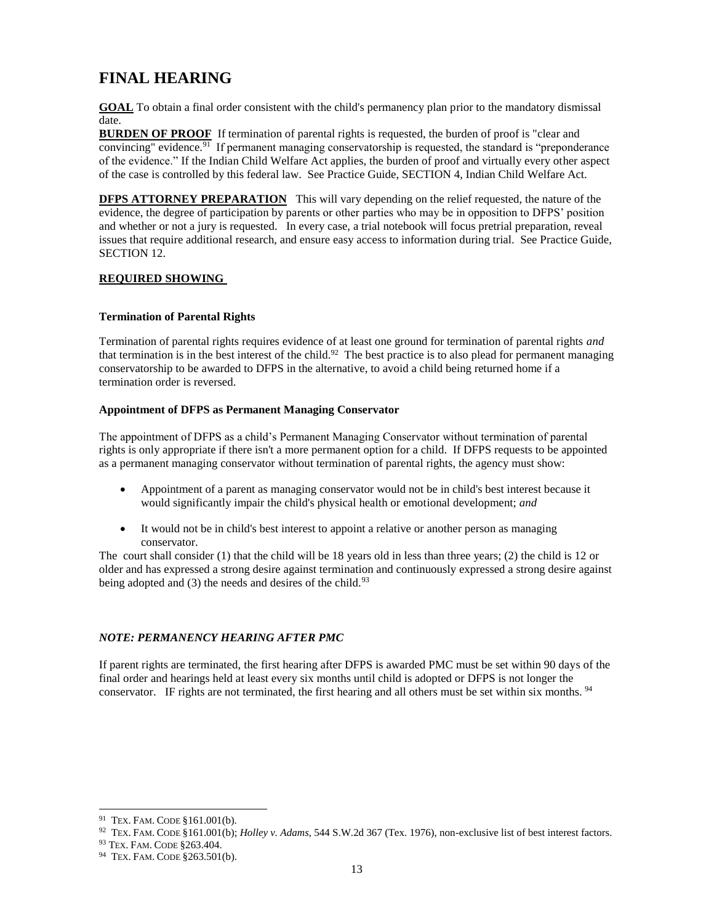## <span id="page-12-0"></span>**FINAL HEARING**

 **GOAL** To obtain a final order consistent with the child's permanency plan prior to the mandatory dismissal date.

**BURDEN OF PROOF** If termination of parental rights is requested, the burden of proof is "clear and convincing" evidence.<sup>91</sup> If permanent managing conservatorship is requested, the standard is "preponderance" of the evidence." If the Indian Child Welfare Act applies, the burden of proof and virtually every other aspect of the case is controlled by this federal law. See Practice Guide, SECTION 4, Indian Child Welfare Act.

**DFPS ATTORNEY PREPARATION** This will vary depending on the relief requested, the nature of the evidence, the degree of participation by parents or other parties who may be in opposition to DFPS' position and whether or not a jury is requested. In every case, a trial notebook will focus pretrial preparation, reveal issues that require additional research, and ensure easy access to information during trial. See Practice Guide, SECTION 12.

#### **REQUIRED SHOWING**

#### **Termination of Parental Rights**

 Termination of parental rights requires evidence of at least one ground for termination of parental rights *and*  that termination is in the best interest of the child.<sup>92</sup> The best practice is to also plead for permanent managing conservatorship to be awarded to DFPS in the alternative, to avoid a child being returned home if a termination order is reversed.

#### **Appointment of DFPS as Permanent Managing Conservator**

 The appointment of DFPS as a child's Permanent Managing Conservator without termination of parental rights is only appropriate if there isn't a more permanent option for a child. If DFPS requests to be appointed as a permanent managing conservator without termination of parental rights, the agency must show:

- Appointment of a parent as managing conservator would not be in child's best interest because it would significantly impair the child's physical health or emotional development; *and*
- It would not be in child's best interest to appoint a relative or another person as managing conservator.

 The court shall consider (1) that the child will be 18 years old in less than three years; (2) the child is 12 or older and has expressed a strong desire against termination and continuously expressed a strong desire against being adopted and (3) the needs and desires of the child.<sup>93</sup>

#### *NOTE: PERMANENCY HEARING AFTER PMC*

 If parent rights are terminated, the first hearing after DFPS is awarded PMC must be set within 90 days of the final order and hearings held at least every six months until child is adopted or DFPS is not longer the conservator. IF rights are not terminated, the first hearing and all others must be set within six months. <sup>94</sup>

l  $91$  Tex. Fam. CODE  $$161.001(b)$ .

<sup>92</sup> TEX. FAM. CODE §161.001(b); *Holley v. Adams*, 544 S.W.2d 367 (Tex. 1976), non-exclusive list of best interest factors.

<sup>93</sup> TEX. FAM. CODE §263.404.

<sup>&</sup>lt;sup>94</sup> TEX. FAM. CODE §263.501(b).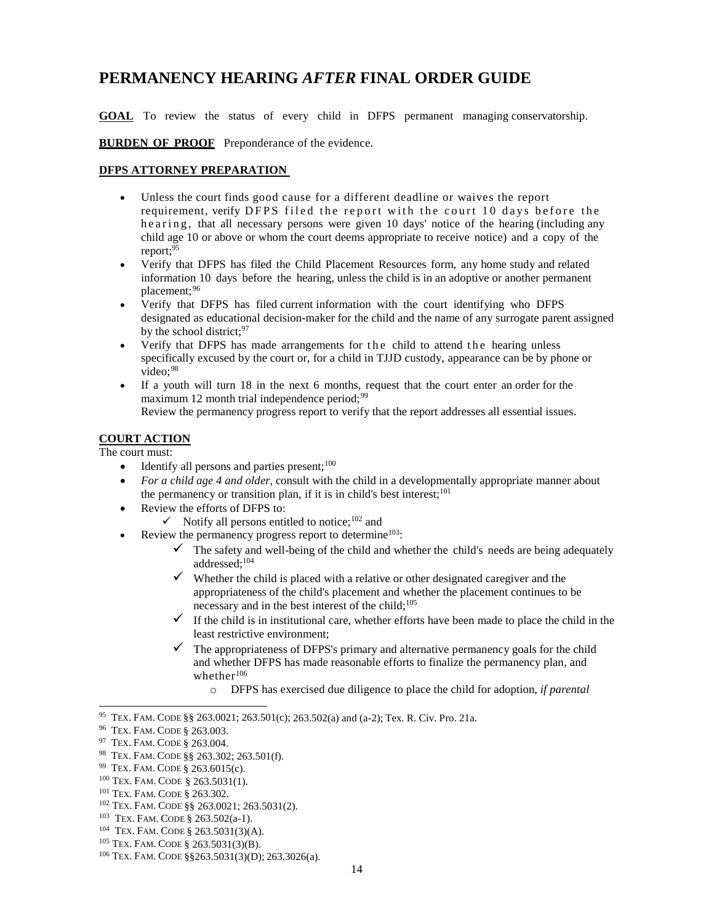## <span id="page-13-0"></span>**PERMANENCY HEARING** *AFTER* **FINAL ORDER GUIDE**

**GOAL** To review the status of every child in DFPS permanent managing conservatorship.

**BURDEN OF PROOF** Preponderance of the evidence.

#### **DFPS ATTORNEY PREPARATION**

- Unless the court finds good cause for a different deadline or waives the report requirement, verify DFPS filed the report with the court 10 days before the he a ring, that all necessary persons were given 10 days' notice of the hearing (including any child age 10 or above or whom the court deems appropriate to receive notice) and a copy of the report;95
- Verify that DFPS has filed the Child Placement Resources form, any home study and related information 10 days before the hearing, unless the child is in an adoptive or another permanent placement; 96
- Verify that DFPS has filed current information with the court identifying who DFPS designated as educational decision-maker for the child and the name of any surrogate parent assigned by the school district;<sup>97</sup>
- Verify that DFPS has made arrangements for the child to attend the hearing unless specifically excused by the court or, for a child in TJJD custody, appearance can be by phone or video; 98
- If a youth will turn 18 in the next 6 months, request that the court enter an order for the maximum 12 month trial independence period; $99$

Review the permanency progress report to verify that the report addresses all essential issues.

#### **COURT ACTION**

The court must:

- $\bullet$  Identify all persons and parties present;<sup>100</sup>
- *For a child age 4 and older*, consult with the child in a developmentally appropriate manner about the permanency or transition plan, if it is in child's best interest;<sup>101</sup>
- Review the efforts of DFPS to:
	- $\checkmark$  Notify all persons entitled to notice;<sup>102</sup> and
- Review the permanency progress report to determine<sup>103</sup>:
	- $\checkmark$  The safety and well-being of the child and whether the child's needs are being adequately addressed;104
	- $\checkmark$  Whether the child is placed with a relative or other designated caregiver and the appropriateness of the child's placement and whether the placement continues to be necessary and in the best interest of the child;<sup>105</sup>
	- $\checkmark$  If the child is in institutional care, whether efforts have been made to place the child in the least restrictive environment;
	- $\checkmark$  The appropriateness of DFPS's primary and alternative permanency goals for the child and whether DFPS has made reasonable efforts to finalize the permanency plan, and whether<sup>106</sup>
		- o DFPS has exercised due diligence to place the child for adoption, *if parental*

 95 TEX. FAM. CODE §§ 263.0021; 263.501(c); 263.502(a) and (a-2); Tex. R. Civ. Pro. 21a.

<sup>&</sup>lt;sup>96</sup> TEX. FAM. CODE § 263.003.

<sup>&</sup>lt;sup>97</sup> TEX. FAM. CODE § 263.004.

 98 TEX. FAM. CODE §§ 263.302; 263.501(f).

 99 TEX. FAM. CODE § 263.6015(c).

<sup>&</sup>lt;sup>100</sup> TEX. FAM. CODE § 263.5031(1).

 101 TEX. FAM. CODE § 263.302.

 102 TEX. FAM. CODE §§ 263.0021; 263.5031(2).

<sup>&</sup>lt;sup>103</sup> TEX. FAM. CODE  $\S$  263.502(a-1).

<sup>104</sup> TEX. FAM. CODE § 263.5031(3)(A).

 105 TEX. FAM. CODE § 263.5031(3)(B).

 106 TEX. FAM. CODE §§263.5031(3)(D); 263.3026(a).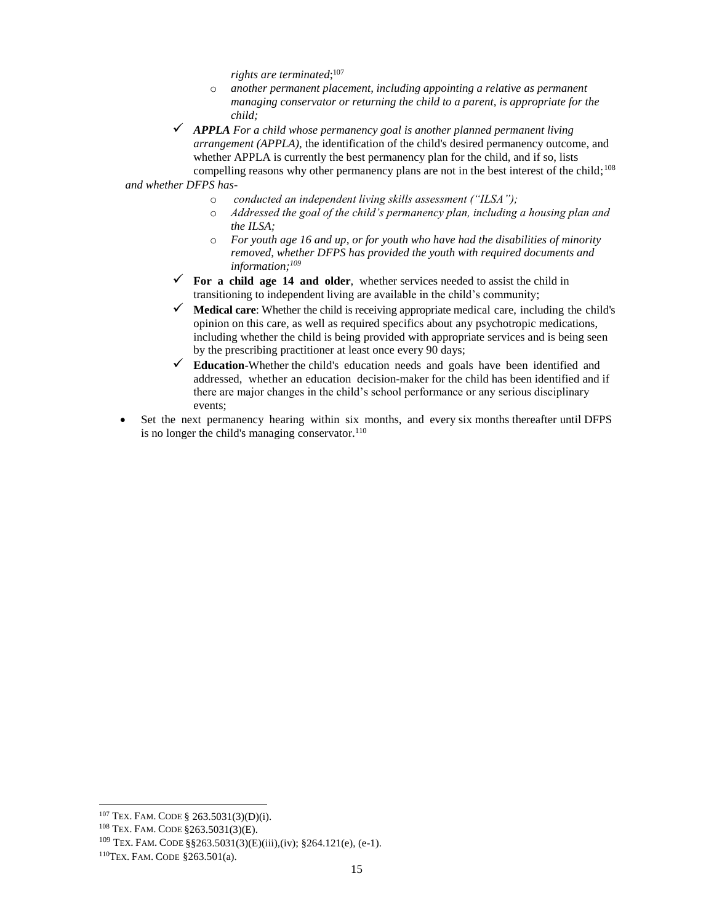*rights are terminated*; 107

- $\circ$  another permanent placement, including appointing a relative as permanent  *managing conservator or returning the child to a parent, is appropriate for the child;*
- *APPLA For a child whose permanency goal is another planned permanent living arrangement (APPLA),* the identification of the child's desired permanency outcome, and whether APPLA is currently the best permanency plan for the child, and if so, lists compelling reasons why other permanency plans are not in the best interest of the child;<sup>108</sup>

*and whether DFPS has-*

- o *conducted an independent living skills assessment ("ILSA");*
- $\circ$  *Addressed the goal of the child's permanency plan, including a housing plan and the ILSA;*
- o *For youth age 16 and up, or for youth who have had the disabilities of minority removed, whether DFPS has provided the youth with required documents and information;109*
- $\checkmark$  For a child age 14 and older, whether services needed to assist the child in transitioning to independent living are available in the child's community;
- **Medical care**: Whether the child is receiving appropriate medical care, including the child's opinion on this care, as well as required specifics about any psychotropic medications, including whether the child is being provided with appropriate services and is being seen by the prescribing practitioner at least once every 90 days;
- **Education**-Whether the child's education needs and goals have been identified and addressed, whether an education decision-maker for the child has been identified and if there are major changes in the child's school performance or any serious disciplinary events;
- Set the next permanency hearing within six months, and every six months thereafter until DFPS is no longer the child's managing conservator.<sup>110</sup>

 107 TEX. FAM. CODE § 263.5031(3)(D)(i).

 108 TEX. FAM. CODE §263.5031(3)(E).

<sup>&</sup>lt;sup>109</sup> TEX. FAM. CODE §§263.5031(3)(E)(iii),(iv); §264.121(e), (e-1).

 110TEX. FAM. CODE §263.501(a).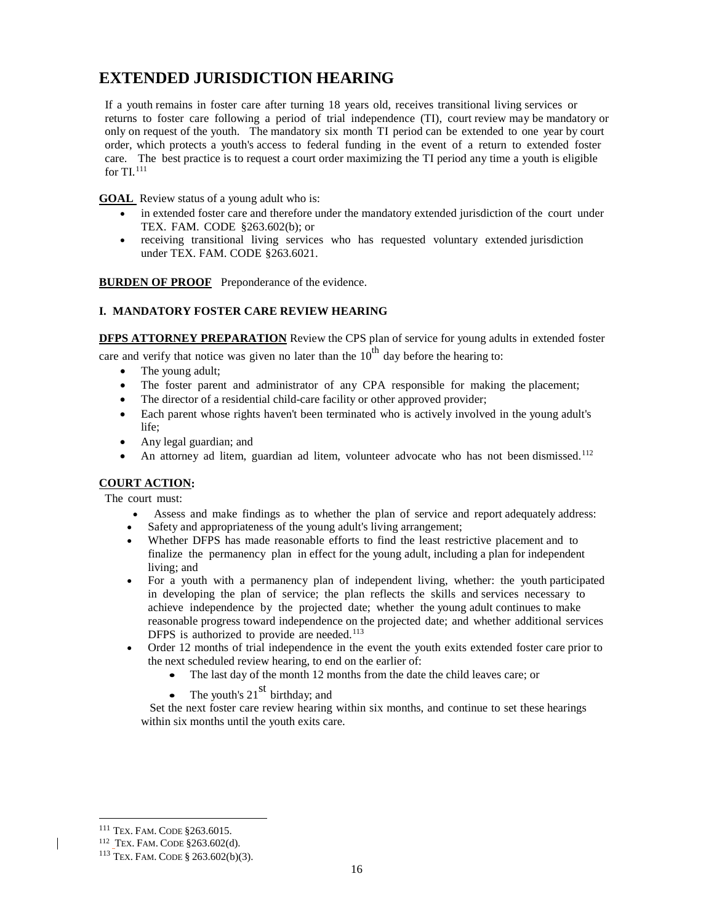## <span id="page-15-0"></span> **EXTENDED JURISDICTION HEARING**

 If a youth remains in foster care after turning 18 years old, receives transitional living services or returns to foster care following a period of trial independence (TI), court review may be mandatory or only on request of the youth. The mandatory six month TI period can be extended to one year by court order, which protects a youth's access to federal funding in the event of a return to extended foster care. The best practice is to request a court order maximizing the TI period any time a youth is eligible for TI. $^{111}$ 

**GOAL** Review status of a young adult who is:

- in extended foster care and therefore under the mandatory extended jurisdiction of the court under TEX. FAM. CODE §263.602(b); or
- receiving transitional living services who has requested voluntary extended jurisdiction under TEX. FAM. CODE §263.6021.

**BURDEN OF PROOF** Preponderance of the evidence.

### **I. MANDATORY FOSTER CARE REVIEW HEARING**

**DFPS ATTORNEY PREPARATION** Review the CPS plan of service for young adults in extended foster

care and verify that notice was given no later than the  $10<sup>th</sup>$  day before the hearing to:

- The young adult;
- The foster parent and administrator of any CPA responsible for making the placement;
- The director of a residential child-care facility or other approved provider;
- Each parent whose rights haven't been terminated who is actively involved in the young adult's life;
- Any legal guardian; and
- An attorney ad litem, guardian ad litem, volunteer advocate who has not been dismissed.<sup>112</sup>

#### **COURT ACTION:**

The court must:

- Assess and make findings as to whether the plan of service and report adequately address:
- Safety and appropriateness of the young adult's living arrangement;
- Whether DFPS has made reasonable efforts to find the least restrictive placement and to finalize the permanency plan in effect for the young adult, including a plan for independent living; and
- For a youth with a permanency plan of independent living, whether: the youth participated in developing the plan of service; the plan reflects the skills and services necessary to achieve independence by the projected date; whether the young adult continues to make reasonable progress toward independence on the projected date; and whether additional services DFPS is authorized to provide are needed.<sup>113</sup>
- Order 12 months of trial independence in the event the youth exits extended foster care prior to the next scheduled review hearing, to end on the earlier of:
	- The last day of the month 12 months from the date the child leaves care; or
	- The youth's  $21<sup>st</sup>$  birthday; and

 Set the next foster care review hearing within six months, and continue to set these hearings within six months until the youth exits care.

<sup>&</sup>lt;sup>111</sup> TEX. FAM. CODE §263.6015.

<sup>&</sup>lt;sup>112</sup> TEX. FAM. CODE §263.602(d).

<sup>&</sup>lt;sup>111</sup> Tex. Fam. Code §263.6015.<br><sup>112</sup> Tex. Fam. Code §263.602(d).<br><sup>113</sup> Tex. Fam. Code § 263.602(b)(3).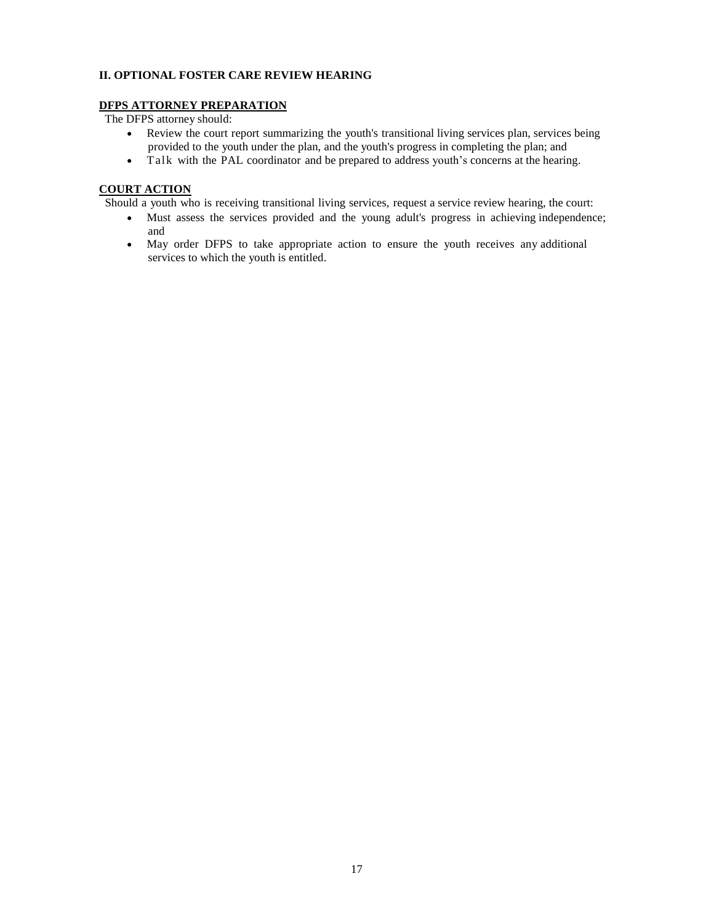## II. OPTIONAL FOSTER CARE REVIEW HEARING<br>DFPS ATTORNEY PREPARATION

The DFPS attorney should:

- Review the court report summarizing the youth's transitional living services plan, services being provided to the youth under the plan, and the youth's progress in completing the plan; and
- Talk with the PAL coordinator and be prepared to address youth's concerns at the hearing.

#### **COURT ACTION**

Should a youth who is receiving transitional living services, request a service review hearing, the court:

- Must assess the services provided and the young adult's progress in achieving independence; and
- May order DFPS to take appropriate action to ensure the youth receives any additional services to which the youth is entitled.